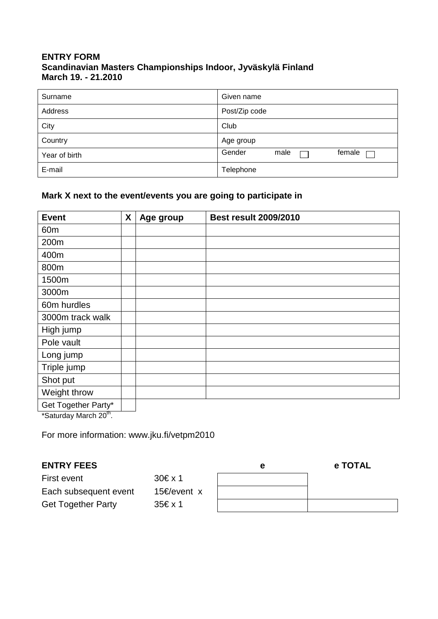## **ENTRY FORM Scandinavian Masters Championships Indoor, Jyväskylä Finland March 19. - 21.2010**

| Surname       | Given name               |
|---------------|--------------------------|
| Address       | Post/Zip code            |
| City          | Club                     |
| Country       | Age group                |
| Year of birth | Gender<br>female<br>male |
| E-mail        | Telephone                |

# **Mark X next to the event/events you are going to participate in**

| <b>Event</b>        | X | Age group | <b>Best result 2009/2010</b> |
|---------------------|---|-----------|------------------------------|
| 60 <sub>m</sub>     |   |           |                              |
| 200m                |   |           |                              |
| 400m                |   |           |                              |
| 800m                |   |           |                              |
| 1500m               |   |           |                              |
| 3000m               |   |           |                              |
| 60m hurdles         |   |           |                              |
| 3000m track walk    |   |           |                              |
| High jump           |   |           |                              |
| Pole vault          |   |           |                              |
| Long jump           |   |           |                              |
| Triple jump         |   |           |                              |
| Shot put            |   |           |                              |
| Weight throw        |   |           |                              |
| Get Together Party* |   |           |                              |

\*Saturday March 20<sup>th</sup>.

For more information: www.jku.fi/vetpm2010

## **ENTRY FEES**

| <b>ENTRY FEES</b>         |              | е | e TOTAL |
|---------------------------|--------------|---|---------|
| First event               | $30 \in x 1$ |   |         |
| Each subsequent event     | 15€/event x  |   |         |
| <b>Get Together Party</b> | 35€ x 1      |   |         |